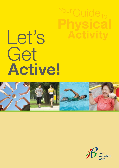# Let's **Active!** Get



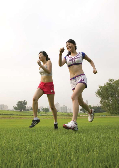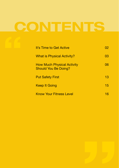# **CONTENTS**

| It's Time to Get Active                                          | 02 |
|------------------------------------------------------------------|----|
| <b>What is Physical Activity?</b>                                | 03 |
| <b>How Much Physical Activity</b><br><b>Should You Be Doing?</b> | 06 |
| <b>Put Safety First</b>                                          | 13 |
| <b>Keep It Going</b>                                             | 15 |
| <b>Know Your Fitness Level</b>                                   | 16 |

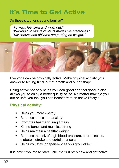# It's Time to Get Active

#### Do these situations sound familiar?

*"I always feel tired and worn out." "Walking two flights of stairs makes me breathless." "My spouse and children are putting on weight."*



Everyone can be physically active. Make physical activity your answer to feeling tired, out of breath and out of shape.

Being active not only helps you look good and feel good, it also allows you to enjoy a better quality of life. No matter how old you are or unfit you feel, you can benefit from an active lifestyle.

#### **Physical activity:**

- Gives you more energy
- Reduces stress and anxiety
- Promotes heart and lung fitness
- Keeps bones and muscles strong
- Helps maintain a healthy weight
- Reduces the risk of high blood pressure, heart disease, diabetes, stroke and certain cancers
- Helps you stay independent as you grow older

It is never too late to start. Take the first step now and get active!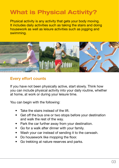# What is Physical Activity?

Physical activity is any activity that gets your body moving. It includes daily activities such as taking the stairs and doing housework as well as leisure activities such as jogging and swimming.



#### **Every effort counts**

If you have not been physically active, start slowly. Think how you can include physical activity into your daily routine, whether at home, at work or during your leisure time.

You can begin with the following:

- Take the stairs instead of the lift.
- Get off the bus one or two stops before your destination and walk the rest of the way.
- Park the car further away from your destination.
- Go for a walk after dinner with your family.
- Wash your car instead of sending it to the carwash.
- Do housework like mopping the floor.
- Go trekking at nature reserves and parks.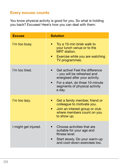#### **Every excuse counts**

You know physical activity is good for you. So what is holding you back? Excuses! Here's how you can deal with them:

| <b>Excuse</b>        | <b>Solution</b>                                                                                                                                                                |
|----------------------|--------------------------------------------------------------------------------------------------------------------------------------------------------------------------------|
| I'm too busy.        | Try a 10-min brisk walk to<br>your lunch venue or to the<br><b>MRT</b> station.<br>Exercise while you are watching<br>TV programmes.                                           |
| I'm too tired.       | Get active! Feel the difference<br>- you will be refreshed and<br>energised after your activity.<br>For a start, do three 10-minute<br>segments of physical activity<br>a day. |
| I'm too lazy.        | Get a family member, friend or<br>colleague to motivate you.<br>Join an interest group or club<br>where members count on you<br>to show up.                                    |
| I might get injured. | Choose activities that are<br>suitable for your age and<br>fitness level.<br>Start slowly. Do your warm-up<br>and cool-down exercises too.                                     |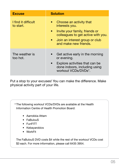| <b>Excuse</b>                    | <b>Solution</b>                                                                                                                                                                                        |  |
|----------------------------------|--------------------------------------------------------------------------------------------------------------------------------------------------------------------------------------------------------|--|
| I find it difficult<br>to start. | Choose an activity that<br>interests you.<br>Invite your family, friends or<br>$\bullet$<br>colleagues to get active with you.<br>Join an interest group or club<br>$\bullet$<br>and make new friends. |  |
| The weather is<br>too hot.       | Get active early in the morning<br>or evening.<br>Explore activities that can be<br>$\bullet$<br>done indoors, including using<br>workout VCDs/DVDs*.                                                  |  |

Put a stop to your excuses! You can make the difference. Make physical activity part of your life.

The following workout VCDs/DVDs are available at the Health \*Information Centre of Health Promotion Board:

- Aarrokkia Attam
- FaBulouS
- FunFITT
- Kebayarobics
- WorkFit

The FaBulouS DVD costs \$4 while the rest of the workout VCDs cost \$3 each. For more information, please call 6435 3954.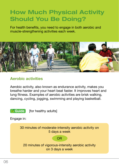# How Much Physical Activity Should You Be Doing?

For health benefits, you need to engage in both aerobic and muscle-strengthening activities each week.



#### **Aerobic activities**

Aerobic activity, also known as endurance activity, makes you breathe harder and your heart beat faster. It improves heart and lung fitness. Examples of aerobic activities are brisk walking, dancing, cycling, jogging, swimming and playing basketball.



**M** Guide [for healthy adults]

Engage in:

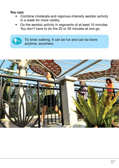#### **You can:**

- Combine moderate and vigorous-intensity aerobic activity in a week for more variety.
- Do the aerobic activity in segments of at least 10 minutes. You don't have to do the 20 or 30 minutes at one go.



Try brisk walking. It can be fun and can be done anytime, anywhere.

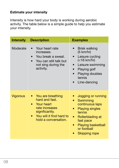#### **Estimate your intensity**

Intensity is how hard your body is working during aerobic activity. The table below is a simple guide to help you estimate your intensity.

| <b>Intensity</b> | <b>Description</b>                                                                                                                                 | <b>Examples</b>                                                                                                                                                                                                                     |
|------------------|----------------------------------------------------------------------------------------------------------------------------------------------------|-------------------------------------------------------------------------------------------------------------------------------------------------------------------------------------------------------------------------------------|
| Moderate         | Your heart rate<br>increases.<br>You break a sweat.<br>You can still talk but<br>$\bullet$<br>not sing during the<br>activity.                     | <b>Brisk walking</b><br>(5 km/hr)<br>Leisure cycling<br>$(<$ 16 km/hr)<br>Leisure swimming<br>Playing golf<br>$\bullet$<br>Playing doubles<br>$\bullet$<br>tennis<br>Line-dancing<br>$\bullet$                                      |
| <b>Vigorous</b>  | You are breathing<br>hard and fast.<br><b>Your heart</b><br>rate increases<br>significantly.<br>• You will it find hard to<br>hold a conversation. | • Jogging or running<br>Swimming<br>$\bullet$<br>continuous laps<br><b>Playing singles</b><br>$\bullet$<br>tennis<br>Rollerblading at<br>$\bullet$<br>fast pace<br><b>Playing basketball</b><br>or football<br><b>Skipping rope</b> |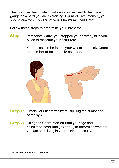The Exercise Heart Rate Chart can also be used to help you gauge how hard you are exercising. For moderate intensity, you should aim for 70%-80% of your Maximum Heart Rate\*.

Follow these steps to determine your intensity:

Immediately after you stopped your activity, take your pulse to measure your heart rate. Step 1

> Your pulse can be felt on your wrists and neck. Count the number of beats for 15 seconds.



- Step 2 Obtain your heart rate by multiplying the number of beats by 4.
- **Step 3** Using the Chart, read off from your age and calculated heart rate (in Step 2) to determine whether you are exercising in your desired intensity.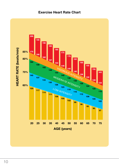#### **Exercise Heart Rate Chart**

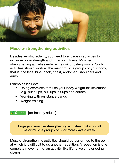

#### **Muscle-strengthening activities**

Besides aerobic activity, you need to engage in activities to increase bone strength and muscular fitness. Musclestrengthening activities reduce the risk of osteoporosis. Such activities should work all the major muscle groups of your body, that is, the legs, hips, back, chest, abdomen, shoulders and arms.

Examples include:

- Doing exercises that use your body weight for resistance (e.g. push ups, pull ups, sit ups and squats)
- Working with resistance bands
- Weight training

**Guide** [for healthy adults]

Engage in muscle-strengthening activities that work all major muscle groups on 2 or more days a week.

Muscle-strengthening activities should be performed to the point at which it is difficult to do another repetition. A repetition is one complete movement of an activity, like lifting weights or doing sit-ups.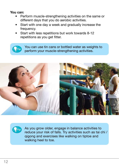#### **You can:**

Tip

- Perform muscle-strengthening activities on the same or different days that you do aerobic activities.
- Start with one day a week and gradually increase the frequency.
- Start with less repetitions but work towards 8-12 repetitions as you get fitter.

You can use tin cans or bottled water as weights to perform your muscle-strengthening activities.



As you grow older, engage in balance activities to reduce your risk of falls. Try activities such as tai chi / qigong and exercises like walking on tiptoe and walking heel to toe.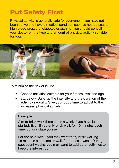## Put Safety First

Physical activity is generally safe for everyone. If you have not been active and have a medical condition such as heart disease, high blood pressure, diabetes or asthma, you should consult your doctor on the type and amount of physical activity suitable for you.



To minimise the risk of injury:

- Choose activities suitable for your fitness level and age.
- Start slow. Build up the intensity and the duration of the activity gradually. Give your body time to adjust to the increased physical activity.

#### **Example**

Aim to brisk walk three times a week if you have just started. Even if you only brisk walk for 10 minutes each time, congratulate yourself.

For the next week, you may want to try brisk walking 15 minutes each time or walk four times a week. During subseqent weeks, you may want to add other activities to keep the interest up.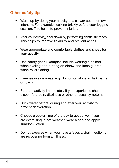#### **Other safety tips**

- Warm up by doing your activity at a slower speed or lower intensity. For example, walking briskly before your jogging session. This helps to prevent injuries.
- After your activity, cool down by performing gentle stretches. This helps to improve flexibility and prevent aches.
- Wear appropriate and comfortable clothes and shoes for your activity.
- Use safety gear. Examples include wearing a helmet when cycling and putting on elbow and knee guards when rollerblading.
- Exercise in safe areas, e.g. do not jog alone in dark paths or roads.
- Stop the activity immediately if you experience chest discomfort, pain, dizziness or other unusual symptoms.
- Drink water before, during and after your activity to prevent dehydration.
- Choose a cooler time of the day to get active. If you are exercising in hot weather, wear a cap and apply sunblock lotion.
- Do not exercise when you have a fever, a viral infection or are recovering from an illness.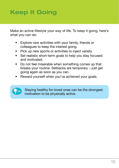# Keep It Going

Make an active lifestyle your way of life. To keep it going, here's what you can do:

- Explore new activities with your family, friends or colleagues to keep the interest going.
- Pick up new sports or activities to inject variety.
- Set realistic short-term goals to help you stay focused and motivated.
- Do not feel miserable when something comes up that breaks your routine. Setbacks are temporary – just get going again as soon as you can.
- Reward vourself when you've achieved your goals.



Staying healthy for loved ones can be the strongest motivation to be physically active.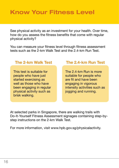### Know Your Fitness Level

See physical activity as an investment for your health. Over time, how do you assess the fitness benefits that come with regular physical activity?

You can measure your fitness level through fitness assessment tests such as the 2-km Walk Test and the 2.4-km Run Test.

#### **The 2-km Walk Test**

This test is suitable for people who have just started exercising as well as those who have been engaging in regular physical activity such as brisk walking.

#### **The 2.4-km Run Test**

The 2.4-km Run is more suitable for people who are fit and have been engaging in vigorous intensity activities such as jogging and running.

At selected parks in Singapore, there are walking trails with Do-It-Yourself Fitness Assessment signages containing step-bystep instructions on the 2-km Walk Test.

For more information, visit www.hpb.gov.sg/physicalactivity.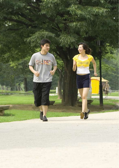